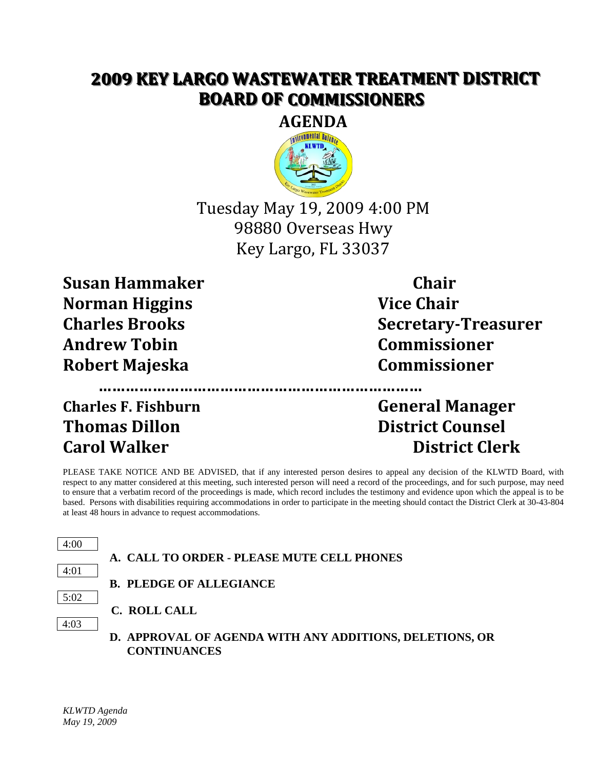## **2009 KEY LARGO WASTEWATER TREATMENT DISTRICT BOARD OF COMMISSIONERS**



Tuesday May 19, 2009 4:00 PM 98880 Overseas Hwy Key Largo, FL 33037

**Susan Hammaker Chair Norman Higgins Vice Chair Andrew Tobin Commissioner Robert Majeska Commissioner**

**Charles F. Fishburn General Manager Thomas Dillon District Counsel**

**Charles Brooks Secretary-Treasurer**

**Carol Walker District Clerk**

PLEASE TAKE NOTICE AND BE ADVISED, that if any interested person desires to appeal any decision of the KLWTD Board, with respect to any matter considered at this meeting, such interested person will need a record of the proceedings, and for such purpose, may need to ensure that a verbatim record of the proceedings is made, which record includes the testimony and evidence upon which the appeal is to be based. Persons with disabilities requiring accommodations in order to participate in the meeting should contact the District Clerk at 30-43-804 at least 48 hours in advance to request accommodations.



**………………………………………………………………**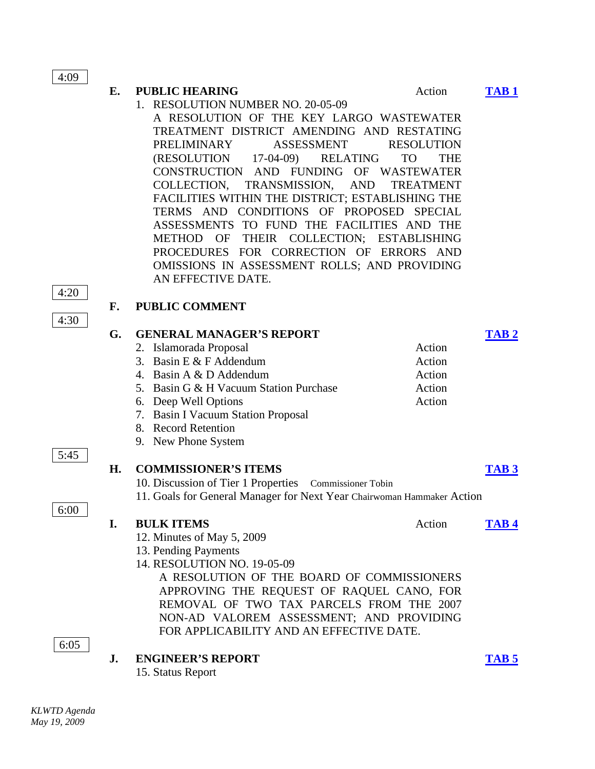4:09

## **E. PUBLIC HEARING** Action **[TAB 1](http://klwtd2.com/attachments/082_tab%201.pdf)**

1. RESOLUTION NUMBER NO. 20-05-09 A RESOLUTION OF THE KEY LARGO WASTEWATER TREATMENT DISTRICT AMENDING AND RESTATING PRELIMINARY ASSESSMENT RESOLUTION (RESOLUTION 17-04-09) RELATING TO THE CONSTRUCTION AND FUNDING OF WASTEWATER COLLECTION, TRANSMISSION, AND TREATMENT FACILITIES WITHIN THE DISTRICT; ESTABLISHING THE TERMS AND CONDITIONS OF PROPOSED SPECIAL ASSESSMENTS TO FUND THE FACILITIES AND THE METHOD OF THEIR COLLECTION; ESTABLISHING PROCEDURES FOR CORRECTION OF ERRORS AND OMISSIONS IN ASSESSMENT ROLLS; AND PROVIDING AN EFFECTIVE DATE.

4:20

4:30

5:45

6:00

## **F. PUBLIC COMMENT**

| G. | <b>GENERAL MANAGER'S REPORT</b>                                                      |        |             |
|----|--------------------------------------------------------------------------------------|--------|-------------|
|    | 2. Islamorada Proposal                                                               | Action |             |
|    | 3. Basin E $&$ F Addendum                                                            | Action |             |
|    | 4. Basin A & D Addendum                                                              | Action |             |
|    | 5. Basin G & H Vacuum Station Purchase                                               | Action |             |
|    | 6. Deep Well Options                                                                 | Action |             |
|    | 7. Basin I Vacuum Station Proposal                                                   |        |             |
|    | 8. Record Retention                                                                  |        |             |
|    | 9. New Phone System                                                                  |        |             |
|    |                                                                                      |        |             |
| H. | <b>COMMISSIONER'S ITEMS</b>                                                          |        | <b>TAB3</b> |
|    | 10. Discussion of Tier 1 Properties Commissioner Tobin                               |        |             |
|    | 11. Goals for General Manager for Next Year Chairwoman Hammaker Action               |        |             |
| I. | <b>BULK ITEMS</b>                                                                    | Action | TAB 4       |
|    |                                                                                      |        |             |
|    |                                                                                      |        |             |
|    | 12. Minutes of May 5, 2009                                                           |        |             |
|    | 13. Pending Payments<br>14. RESOLUTION NO. 19-05-09                                  |        |             |
|    | A RESOLUTION OF THE BOARD OF COMMISSIONERS                                           |        |             |
|    |                                                                                      |        |             |
|    | APPROVING THE REQUEST OF RAQUEL CANO, FOR                                            |        |             |
|    | REMOVAL OF TWO TAX PARCELS FROM THE 2007                                             |        |             |
|    | NON-AD VALOREM ASSESSMENT; AND PROVIDING<br>FOR APPLICABILITY AND AN EFFECTIVE DATE. |        |             |
|    |                                                                                      |        |             |
| J. | <b>ENGINEER'S REPORT</b>                                                             |        | ТАВ 5       |

6:05